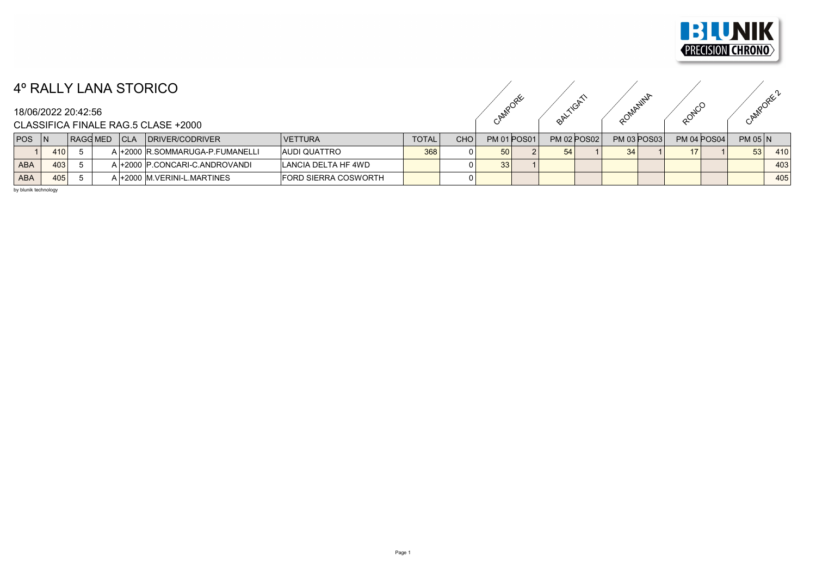

## 4º RALLY LANA STORICO

## 18/06/2022 20:42:56

CAMPORE ORIGINAL ROMANINA RONCO CAMPORE ?

CLASSIFICA FINALE RAG.5 CLASE +2000

| <b>POS</b> |     | <b>RAGG MED</b> | l CLA | DRIVER/CODRIVER                  | <b>IVETTURA</b>             | <b>TOTAL</b> | <b>CHO</b> |                 | <b>PM 01 POS01</b> | <b>PM 02 POS02</b> | <b>PM 03 POS03</b> | <b>PM 04 POS04</b> | $PM$ 05 $N$ |     |
|------------|-----|-----------------|-------|----------------------------------|-----------------------------|--------------|------------|-----------------|--------------------|--------------------|--------------------|--------------------|-------------|-----|
|            | 410 |                 |       | ، l+2000 R.SOMMARUGA-P.FUMANELLI | <b>AUDI QUATTRO</b>         | 368          |            | 50 <sub>1</sub> |                    | FA                 | 34                 |                    | 53          | 410 |
| <b>ABA</b> | 403 |                 |       | .I+2000 P.CONCARI-C.ANDROVANDI   | ILANCIA DELTA HF 4WD        |              |            | 33              |                    |                    |                    |                    |             | 403 |
| <b>ABA</b> | 405 |                 |       | 1+2000 M.VERINI-L.MARTINES       | <b>FORD SIERRA COSWORTH</b> |              |            |                 |                    |                    |                    |                    |             | 405 |

by blunik technology